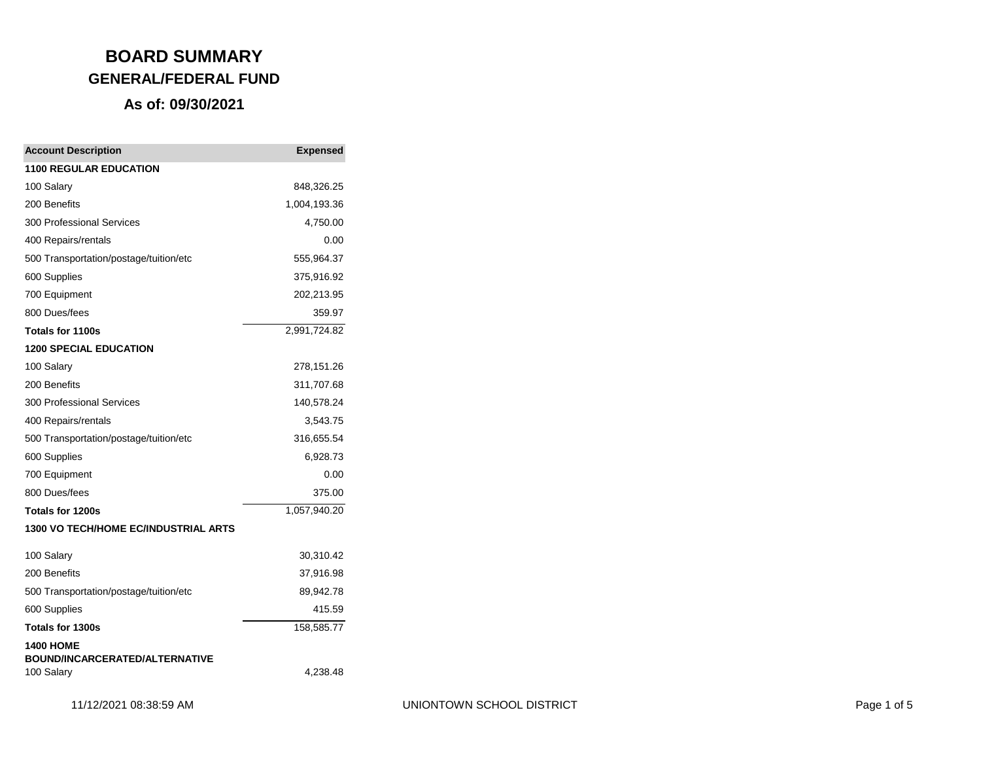| <b>Account Description</b>                          | <b>Expensed</b> |
|-----------------------------------------------------|-----------------|
| <b>1100 REGULAR EDUCATION</b>                       |                 |
| 100 Salary                                          | 848,326.25      |
| 200 Benefits                                        | 1,004,193.36    |
| 300 Professional Services                           | 4,750.00        |
| 400 Repairs/rentals                                 | 0.00            |
| 500 Transportation/postage/tuition/etc              | 555,964.37      |
| 600 Supplies                                        | 375,916.92      |
| 700 Equipment                                       | 202,213.95      |
| 800 Dues/fees                                       | 359.97          |
| Totals for 1100s                                    | 2,991,724.82    |
| <b>1200 SPECIAL EDUCATION</b>                       |                 |
| 100 Salary                                          | 278,151.26      |
| 200 Benefits                                        | 311,707.68      |
| <b>300 Professional Services</b>                    | 140,578.24      |
| 400 Repairs/rentals                                 | 3,543.75        |
| 500 Transportation/postage/tuition/etc              | 316,655.54      |
| 600 Supplies                                        | 6,928.73        |
| 700 Equipment                                       | 0.00            |
| 800 Dues/fees                                       | 375.00          |
| Totals for 1200s                                    | 1,057,940.20    |
| 1300 VO TECH/HOME EC/INDUSTRIAL ARTS                |                 |
| 100 Salary                                          | 30,310.42       |
| 200 Benefits                                        | 37,916.98       |
| 500 Transportation/postage/tuition/etc              | 89,942.78       |
| 600 Supplies                                        | 415.59          |
| Totals for 1300s                                    | 158,585.77      |
| <b>1400 HOME</b>                                    |                 |
| <b>BOUND/INCARCERATED/ALTERNATIVE</b><br>100 Salary | 4,238.48        |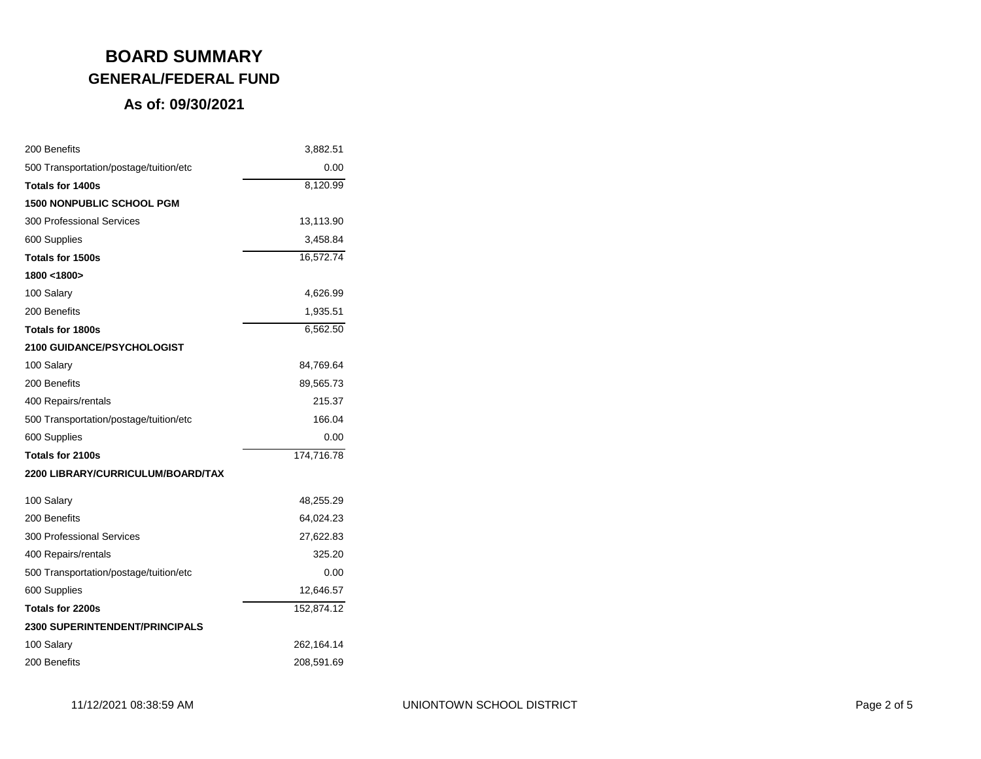| 200 Benefits                           | 3,882.51   |
|----------------------------------------|------------|
| 500 Transportation/postage/tuition/etc | 0.00       |
| Totals for 1400s                       | 8,120.99   |
| <b>1500 NONPUBLIC SCHOOL PGM</b>       |            |
| 300 Professional Services              | 13,113.90  |
| 600 Supplies                           | 3,458.84   |
| Totals for 1500s                       | 16,572.74  |
| 1800 <1800>                            |            |
| 100 Salary                             | 4,626.99   |
| 200 Benefits                           | 1,935.51   |
| Totals for 1800s                       | 6,562.50   |
| <b>2100 GUIDANCE/PSYCHOLOGIST</b>      |            |
| 100 Salary                             | 84,769.64  |
| 200 Benefits                           | 89,565.73  |
| 400 Repairs/rentals                    | 215.37     |
| 500 Transportation/postage/tuition/etc | 166.04     |
| 600 Supplies                           | 0.00       |
| Totals for 2100s                       | 174,716.78 |
| 2200 LIBRARY/CURRICULUM/BOARD/TAX      |            |
| 100 Salary                             | 48,255.29  |
| 200 Benefits                           | 64,024.23  |
| <b>300 Professional Services</b>       | 27,622.83  |
| 400 Repairs/rentals                    | 325.20     |
| 500 Transportation/postage/tuition/etc | 0.00       |
| 600 Supplies                           | 12,646.57  |
| Totals for 2200s                       | 152,874.12 |
| <b>2300 SUPERINTENDENT/PRINCIPALS</b>  |            |
| 100 Salary                             | 262,164.14 |
| 200 Benefits                           | 208,591.69 |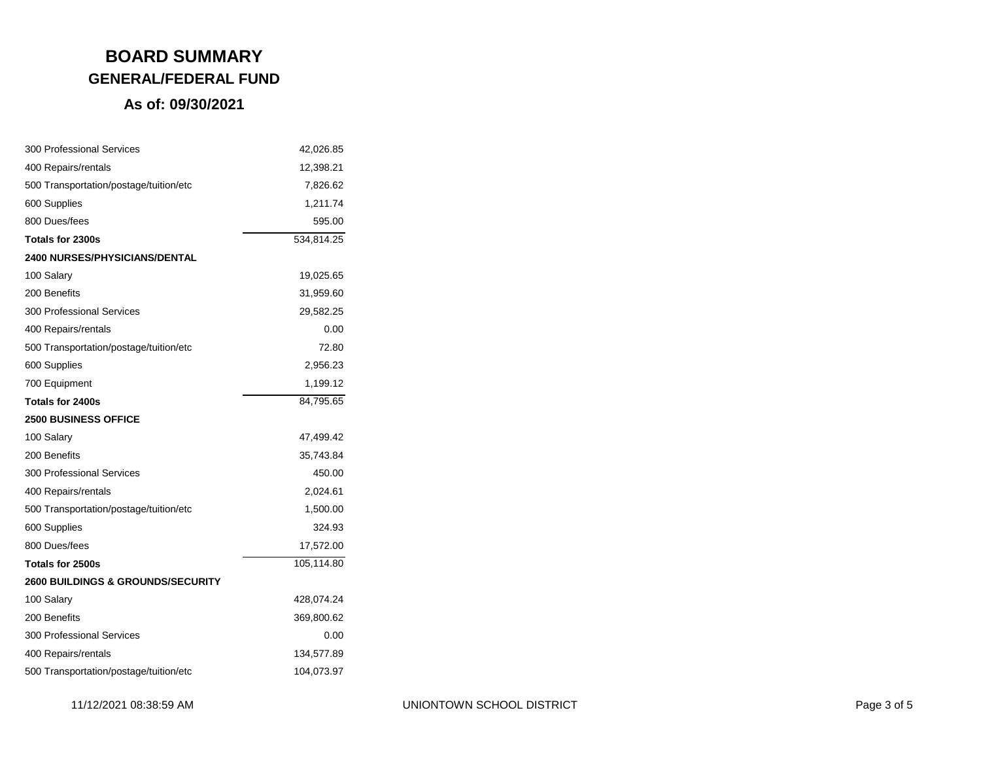| <b>300 Professional Services</b>             | 42,026.85  |
|----------------------------------------------|------------|
| 400 Repairs/rentals                          | 12,398.21  |
| 500 Transportation/postage/tuition/etc       | 7,826.62   |
| 600 Supplies                                 | 1,211.74   |
| 800 Dues/fees                                | 595.00     |
| Totals for 2300s                             | 534,814.25 |
| <b>2400 NURSES/PHYSICIANS/DENTAL</b>         |            |
| 100 Salary                                   | 19,025.65  |
| 200 Benefits                                 | 31,959.60  |
| <b>300 Professional Services</b>             | 29,582.25  |
| 400 Repairs/rentals                          | 0.00       |
| 500 Transportation/postage/tuition/etc       | 72.80      |
| 600 Supplies                                 | 2,956.23   |
| 700 Equipment                                | 1,199.12   |
| Totals for 2400s                             | 84,795.65  |
| <b>2500 BUSINESS OFFICE</b>                  |            |
| 100 Salary                                   | 47,499.42  |
| 200 Benefits                                 | 35,743.84  |
| <b>300 Professional Services</b>             | 450.00     |
| 400 Repairs/rentals                          | 2,024.61   |
| 500 Transportation/postage/tuition/etc       | 1,500.00   |
| 600 Supplies                                 | 324.93     |
| 800 Dues/fees                                | 17,572.00  |
| Totals for 2500s                             | 105,114.80 |
| <b>2600 BUILDINGS &amp; GROUNDS/SECURITY</b> |            |
| 100 Salary                                   | 428,074.24 |
| 200 Benefits                                 | 369,800.62 |
| <b>300 Professional Services</b>             | 0.00       |
| 400 Repairs/rentals                          | 134,577.89 |
| 500 Transportation/postage/tuition/etc       | 104,073.97 |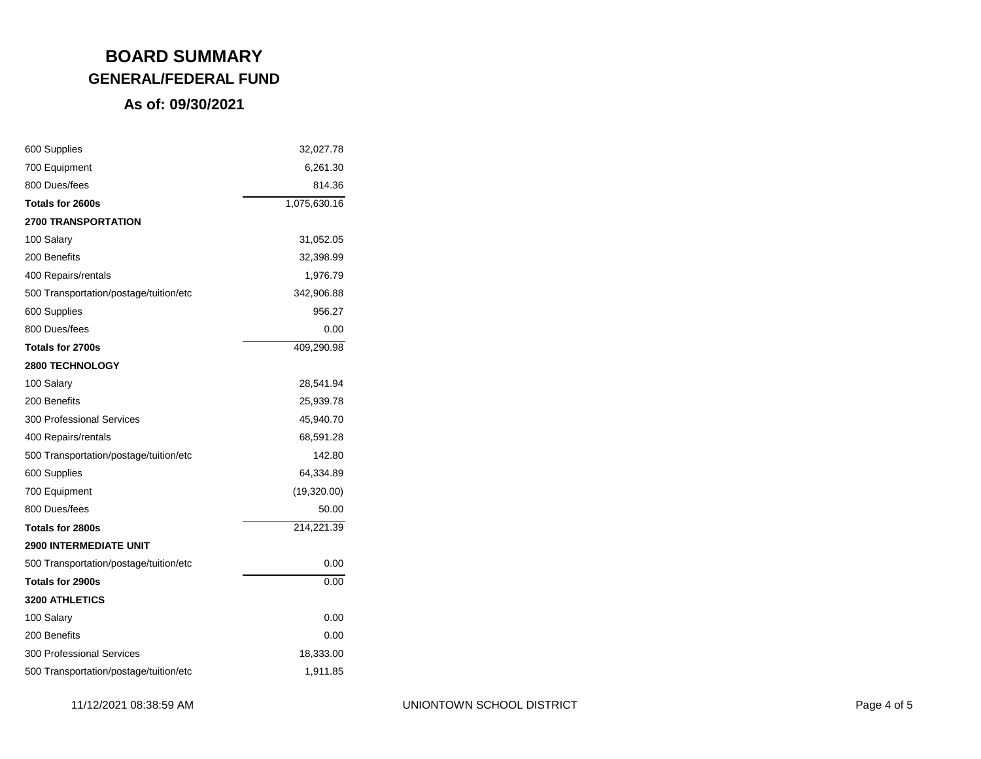| 600 Supplies                           | 32,027.78    |
|----------------------------------------|--------------|
| 700 Equipment                          | 6,261.30     |
| 800 Dues/fees                          | 814.36       |
| Totals for 2600s                       | 1,075,630.16 |
| <b>2700 TRANSPORTATION</b>             |              |
| 100 Salary                             | 31,052.05    |
| 200 Benefits                           | 32,398.99    |
| 400 Repairs/rentals                    | 1,976.79     |
| 500 Transportation/postage/tuition/etc | 342,906.88   |
| 600 Supplies                           | 956.27       |
| 800 Dues/fees                          | 0.00         |
| Totals for 2700s                       | 409,290.98   |
| <b>2800 TECHNOLOGY</b>                 |              |
| 100 Salary                             | 28,541.94    |
| 200 Benefits                           | 25,939.78    |
| <b>300 Professional Services</b>       | 45,940.70    |
| 400 Repairs/rentals                    | 68,591.28    |
| 500 Transportation/postage/tuition/etc | 142.80       |
| 600 Supplies                           | 64,334.89    |
| 700 Equipment                          | (19,320.00)  |
| 800 Dues/fees                          | 50.00        |
| Totals for 2800s                       | 214,221.39   |
| <b>2900 INTERMEDIATE UNIT</b>          |              |
| 500 Transportation/postage/tuition/etc | 0.00         |
| Totals for 2900s                       | 0.00         |
| <b>3200 ATHLETICS</b>                  |              |
| 100 Salary                             | 0.00         |
| 200 Benefits                           | 0.00         |
| <b>300 Professional Services</b>       | 18,333.00    |
| 500 Transportation/postage/tuition/etc | 1,911.85     |